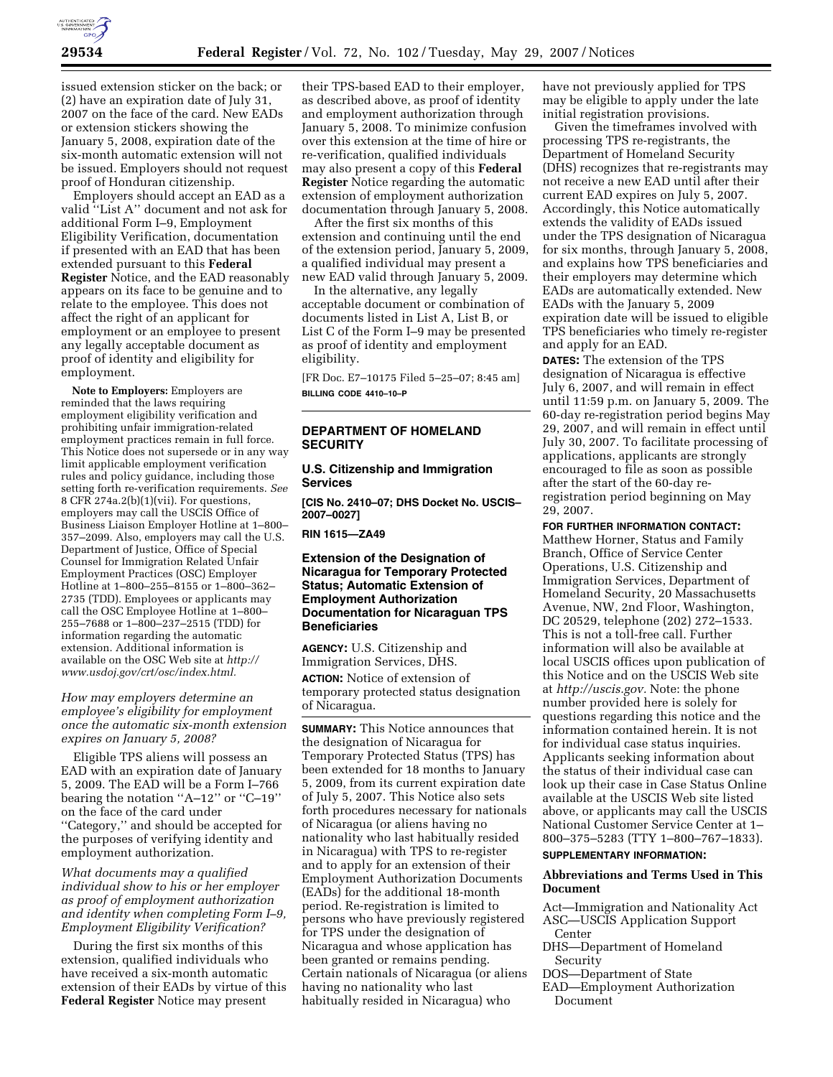

issued extension sticker on the back; or (2) have an expiration date of July 31, 2007 on the face of the card. New EADs or extension stickers showing the January 5, 2008, expiration date of the six-month automatic extension will not be issued. Employers should not request proof of Honduran citizenship.

Employers should accept an EAD as a valid ''List A'' document and not ask for additional Form I–9, Employment Eligibility Verification, documentation if presented with an EAD that has been extended pursuant to this **Federal Register** Notice, and the EAD reasonably appears on its face to be genuine and to relate to the employee. This does not affect the right of an applicant for employment or an employee to present any legally acceptable document as proof of identity and eligibility for employment.

**Note to Employers:** Employers are reminded that the laws requiring employment eligibility verification and prohibiting unfair immigration-related employment practices remain in full force. This Notice does not supersede or in any way limit applicable employment verification rules and policy guidance, including those setting forth re-verification requirements. *See*  8 CFR 274a.2(b)(1)(vii). For questions, employers may call the USCIS Office of Business Liaison Employer Hotline at 1–800– 357–2099. Also, employers may call the U.S. Department of Justice, Office of Special Counsel for Immigration Related Unfair Employment Practices (OSC) Employer Hotline at 1–800–255–8155 or 1–800–362– 2735 (TDD). Employees or applicants may call the OSC Employee Hotline at 1–800– 255–7688 or 1–800–237–2515 (TDD) for information regarding the automatic extension. Additional information is available on the OSC Web site at *http:// www.usdoj.gov/crt/osc/index.html.* 

*How may employers determine an employee's eligibility for employment once the automatic six-month extension expires on January 5, 2008?* 

Eligible TPS aliens will possess an EAD with an expiration date of January 5, 2009. The EAD will be a Form I–766 bearing the notation ''A–12'' or ''C–19'' on the face of the card under ''Category,'' and should be accepted for the purposes of verifying identity and employment authorization.

*What documents may a qualified individual show to his or her employer as proof of employment authorization and identity when completing Form I–9, Employment Eligibility Verification?* 

During the first six months of this extension, qualified individuals who have received a six-month automatic extension of their EADs by virtue of this **Federal Register** Notice may present

their TPS-based EAD to their employer, as described above, as proof of identity and employment authorization through January 5, 2008. To minimize confusion over this extension at the time of hire or re-verification, qualified individuals may also present a copy of this **Federal Register** Notice regarding the automatic extension of employment authorization documentation through January 5, 2008.

After the first six months of this extension and continuing until the end of the extension period, January 5, 2009, a qualified individual may present a new EAD valid through January 5, 2009.

In the alternative, any legally acceptable document or combination of documents listed in List A, List B, or List C of the Form I–9 may be presented as proof of identity and employment eligibility.

[FR Doc. E7–10175 Filed 5–25–07; 8:45 am] **BILLING CODE 4410–10–P** 

### **DEPARTMENT OF HOMELAND SECURITY**

# **U.S. Citizenship and Immigration Services**

**[CIS No. 2410–07; DHS Docket No. USCIS– 2007–0027]** 

**RIN 1615—ZA49** 

# **Extension of the Designation of Nicaragua for Temporary Protected Status; Automatic Extension of Employment Authorization Documentation for Nicaraguan TPS Beneficiaries**

**AGENCY:** U.S. Citizenship and Immigration Services, DHS. **ACTION:** Notice of extension of

temporary protected status designation of Nicaragua.

**SUMMARY:** This Notice announces that the designation of Nicaragua for Temporary Protected Status (TPS) has been extended for 18 months to January 5, 2009, from its current expiration date of July 5, 2007. This Notice also sets forth procedures necessary for nationals of Nicaragua (or aliens having no nationality who last habitually resided in Nicaragua) with TPS to re-register and to apply for an extension of their Employment Authorization Documents (EADs) for the additional 18-month period. Re-registration is limited to persons who have previously registered for TPS under the designation of Nicaragua and whose application has been granted or remains pending. Certain nationals of Nicaragua (or aliens having no nationality who last habitually resided in Nicaragua) who

have not previously applied for TPS may be eligible to apply under the late initial registration provisions.

Given the timeframes involved with processing TPS re-registrants, the Department of Homeland Security (DHS) recognizes that re-registrants may not receive a new EAD until after their current EAD expires on July 5, 2007. Accordingly, this Notice automatically extends the validity of EADs issued under the TPS designation of Nicaragua for six months, through January 5, 2008, and explains how TPS beneficiaries and their employers may determine which EADs are automatically extended. New EADs with the January 5, 2009 expiration date will be issued to eligible TPS beneficiaries who timely re-register and apply for an EAD.

**DATES:** The extension of the TPS designation of Nicaragua is effective July 6, 2007, and will remain in effect until 11:59 p.m. on January 5, 2009. The 60-day re-registration period begins May 29, 2007, and will remain in effect until July 30, 2007. To facilitate processing of applications, applicants are strongly encouraged to file as soon as possible after the start of the 60-day reregistration period beginning on May 29, 2007.

**FOR FURTHER INFORMATION CONTACT:** 

Matthew Horner, Status and Family Branch, Office of Service Center Operations, U.S. Citizenship and Immigration Services, Department of Homeland Security, 20 Massachusetts Avenue, NW, 2nd Floor, Washington, DC 20529, telephone (202) 272–1533. This is not a toll-free call. Further information will also be available at local USCIS offices upon publication of this Notice and on the USCIS Web site at *http://uscis.gov.* Note: the phone number provided here is solely for questions regarding this notice and the information contained herein. It is not for individual case status inquiries. Applicants seeking information about the status of their individual case can look up their case in Case Status Online available at the USCIS Web site listed above, or applicants may call the USCIS National Customer Service Center at 1– 800–375–5283 (TTY 1–800–767–1833).

#### **SUPPLEMENTARY INFORMATION:**

### **Abbreviations and Terms Used in This Document**

Act—Immigration and Nationality Act ASC—USCIS Application Support

- Center
- DHS—Department of Homeland Security

DOS—Department of State

EAD—Employment Authorization Document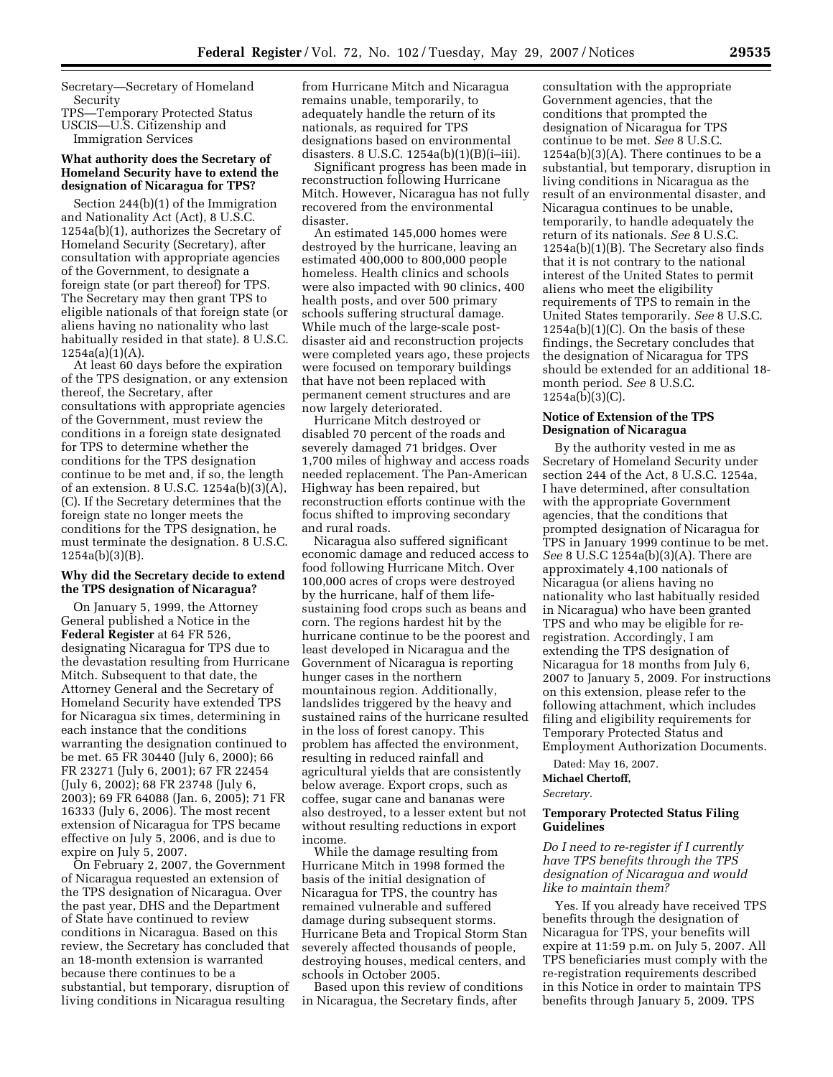Secretary—Secretary of Homeland Security

TPS—Temporary Protected Status

USCIS—U.S. Citizenship and Immigration Services

# **What authority does the Secretary of Homeland Security have to extend the designation of Nicaragua for TPS?**

Section 244(b)(1) of the Immigration and Nationality Act (Act), 8 U.S.C. 1254a(b)(1), authorizes the Secretary of Homeland Security (Secretary), after consultation with appropriate agencies of the Government, to designate a foreign state (or part thereof) for TPS. The Secretary may then grant TPS to eligible nationals of that foreign state (or aliens having no nationality who last habitually resided in that state). 8 U.S.C. 1254a(a)(1)(A).

At least 60 days before the expiration of the TPS designation, or any extension thereof, the Secretary, after consultations with appropriate agencies of the Government, must review the conditions in a foreign state designated for TPS to determine whether the conditions for the TPS designation continue to be met and, if so, the length of an extension. 8 U.S.C. 1254a(b)(3)(A), (C). If the Secretary determines that the foreign state no longer meets the conditions for the TPS designation, he must terminate the designation. 8 U.S.C. 1254a(b)(3)(B).

#### **Why did the Secretary decide to extend the TPS designation of Nicaragua?**

On January 5, 1999, the Attorney General published a Notice in the **Federal Register** at 64 FR 526, designating Nicaragua for TPS due to the devastation resulting from Hurricane Mitch. Subsequent to that date, the Attorney General and the Secretary of Homeland Security have extended TPS for Nicaragua six times, determining in each instance that the conditions warranting the designation continued to be met. 65 FR 30440 (July 6, 2000); 66 FR 23271 (July 6, 2001); 67 FR 22454 (July 6, 2002); 68 FR 23748 (July 6, 2003); 69 FR 64088 (Jan. 6, 2005); 71 FR 16333 (July 6, 2006). The most recent extension of Nicaragua for TPS became effective on July 5, 2006, and is due to expire on July 5, 2007.

On February 2, 2007, the Government of Nicaragua requested an extension of the TPS designation of Nicaragua. Over the past year, DHS and the Department of State have continued to review conditions in Nicaragua. Based on this review, the Secretary has concluded that an 18-month extension is warranted because there continues to be a substantial, but temporary, disruption of living conditions in Nicaragua resulting

from Hurricane Mitch and Nicaragua remains unable, temporarily, to adequately handle the return of its nationals, as required for TPS designations based on environmental disasters. 8 U.S.C.  $1254a(b)(1)(B)(i-iii)$ .

Significant progress has been made in reconstruction following Hurricane Mitch. However, Nicaragua has not fully recovered from the environmental disaster.

An estimated 145,000 homes were destroyed by the hurricane, leaving an estimated 400,000 to 800,000 people homeless. Health clinics and schools were also impacted with 90 clinics, 400 health posts, and over 500 primary schools suffering structural damage. While much of the large-scale postdisaster aid and reconstruction projects were completed years ago, these projects were focused on temporary buildings that have not been replaced with permanent cement structures and are now largely deteriorated.

Hurricane Mitch destroyed or disabled 70 percent of the roads and severely damaged 71 bridges. Over 1,700 miles of highway and access roads needed replacement. The Pan-American Highway has been repaired, but reconstruction efforts continue with the focus shifted to improving secondary and rural roads.

Nicaragua also suffered significant economic damage and reduced access to food following Hurricane Mitch. Over 100,000 acres of crops were destroyed by the hurricane, half of them lifesustaining food crops such as beans and corn. The regions hardest hit by the hurricane continue to be the poorest and least developed in Nicaragua and the Government of Nicaragua is reporting hunger cases in the northern mountainous region. Additionally, landslides triggered by the heavy and sustained rains of the hurricane resulted in the loss of forest canopy. This problem has affected the environment, resulting in reduced rainfall and agricultural yields that are consistently below average. Export crops, such as coffee, sugar cane and bananas were also destroyed, to a lesser extent but not without resulting reductions in export income.

While the damage resulting from Hurricane Mitch in 1998 formed the basis of the initial designation of Nicaragua for TPS, the country has remained vulnerable and suffered damage during subsequent storms. Hurricane Beta and Tropical Storm Stan severely affected thousands of people, destroying houses, medical centers, and schools in October 2005.

Based upon this review of conditions in Nicaragua, the Secretary finds, after

consultation with the appropriate Government agencies, that the conditions that prompted the designation of Nicaragua for TPS continue to be met. *See* 8 U.S.C. 1254a(b)(3)(A). There continues to be a substantial, but temporary, disruption in living conditions in Nicaragua as the result of an environmental disaster, and Nicaragua continues to be unable, temporarily, to handle adequately the return of its nationals. *See* 8 U.S.C. 1254a(b)(1)(B). The Secretary also finds that it is not contrary to the national interest of the United States to permit aliens who meet the eligibility requirements of TPS to remain in the United States temporarily. *See* 8 U.S.C. 1254a(b)(1)(C). On the basis of these findings, the Secretary concludes that the designation of Nicaragua for TPS should be extended for an additional 18 month period. *See* 8 U.S.C. 1254a(b)(3)(C).

# **Notice of Extension of the TPS Designation of Nicaragua**

By the authority vested in me as Secretary of Homeland Security under section 244 of the Act, 8 U.S.C. 1254a, I have determined, after consultation with the appropriate Government agencies, that the conditions that prompted designation of Nicaragua for TPS in January 1999 continue to be met. *See* 8 U.S.C 1254a(b)(3)(A). There are approximately 4,100 nationals of Nicaragua (or aliens having no nationality who last habitually resided in Nicaragua) who have been granted TPS and who may be eligible for reregistration. Accordingly, I am extending the TPS designation of Nicaragua for 18 months from July 6, 2007 to January 5, 2009. For instructions on this extension, please refer to the following attachment, which includes filing and eligibility requirements for Temporary Protected Status and Employment Authorization Documents.

Dated: May 16, 2007.

**Michael Chertoff,** 

*Secretary.* 

# **Temporary Protected Status Filing Guidelines**

*Do I need to re-register if I currently have TPS benefits through the TPS designation of Nicaragua and would like to maintain them?* 

Yes. If you already have received TPS benefits through the designation of Nicaragua for TPS, your benefits will expire at 11:59 p.m. on July 5, 2007. All TPS beneficiaries must comply with the re-registration requirements described in this Notice in order to maintain TPS benefits through January 5, 2009. TPS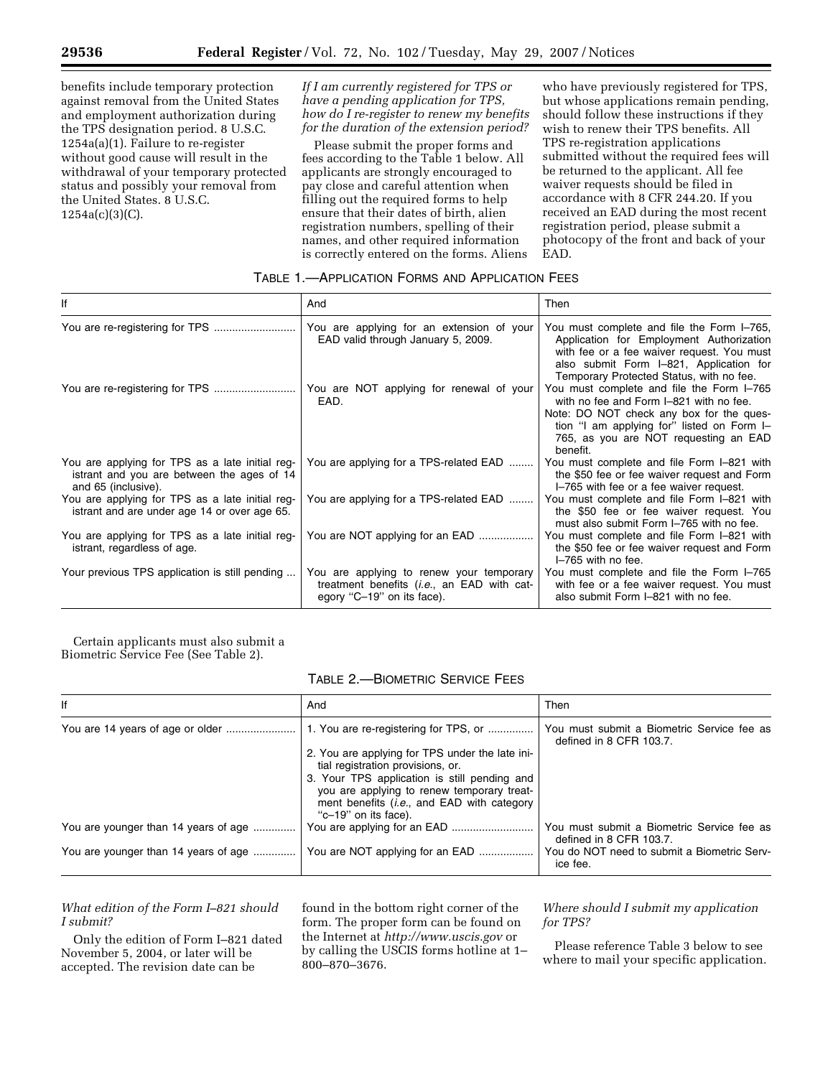benefits include temporary protection against removal from the United States and employment authorization during the TPS designation period. 8 U.S.C. 1254a(a)(1). Failure to re-register without good cause will result in the withdrawal of your temporary protected status and possibly your removal from the United States. 8 U.S.C. 1254a(c)(3)(C).

*If I am currently registered for TPS or have a pending application for TPS, how do I re-register to renew my benefits for the duration of the extension period?* 

Please submit the proper forms and fees according to the Table 1 below. All applicants are strongly encouraged to pay close and careful attention when filling out the required forms to help ensure that their dates of birth, alien registration numbers, spelling of their names, and other required information is correctly entered on the forms. Aliens

who have previously registered for TPS, but whose applications remain pending, should follow these instructions if they wish to renew their TPS benefits. All TPS re-registration applications submitted without the required fees will be returned to the applicant. All fee waiver requests should be filed in accordance with 8 CFR 244.20. If you received an EAD during the most recent registration period, please submit a photocopy of the front and back of your EAD.

# TABLE 1.—APPLICATION FORMS AND APPLICATION FEES

| lf                                                                                                                   | And                                                                                                                  | Then                                                                                                                                                                                                                                |
|----------------------------------------------------------------------------------------------------------------------|----------------------------------------------------------------------------------------------------------------------|-------------------------------------------------------------------------------------------------------------------------------------------------------------------------------------------------------------------------------------|
|                                                                                                                      | You are applying for an extension of your<br>EAD valid through January 5, 2009.                                      | You must complete and file the Form I-765,<br>Application for Employment Authorization<br>with fee or a fee waiver request. You must<br>also submit Form I-821, Application for<br>Temporary Protected Status, with no fee.         |
|                                                                                                                      | You are NOT applying for renewal of your<br>EAD.                                                                     | You must complete and file the Form I-765<br>with no fee and Form I-821 with no fee.<br>Note: DO NOT check any box for the ques-<br>tion "I am applying for" listed on Form I-<br>765, as you are NOT requesting an EAD<br>benefit. |
| You are applying for TPS as a late initial reg-<br>istrant and you are between the ages of 14<br>and 65 (inclusive). | You are applying for a TPS-related EAD                                                                               | You must complete and file Form I-821 with<br>the \$50 fee or fee waiver request and Form<br>I-765 with fee or a fee waiver request.                                                                                                |
| You are applying for TPS as a late initial reg-<br>istrant and are under age 14 or over age 65.                      | You are applying for a TPS-related EAD                                                                               | You must complete and file Form I-821 with<br>the \$50 fee or fee waiver request. You<br>must also submit Form I-765 with no fee.                                                                                                   |
| You are applying for TPS as a late initial reg-<br>istrant, regardless of age.                                       | You are NOT applying for an EAD                                                                                      | You must complete and file Form I-821 with<br>the \$50 fee or fee waiver request and Form<br>I-765 with no fee.                                                                                                                     |
| Your previous TPS application is still pending                                                                       | You are applying to renew your temporary<br>treatment benefits (i.e., an EAD with cat-<br>egory "C-19" on its face). | You must complete and file the Form I-765<br>with fee or a fee waiver request. You must<br>also submit Form I-821 with no fee.                                                                                                      |

Certain applicants must also submit a Biometric Service Fee (See Table 2).

TABLE 2.—BIOMETRIC SERVICE FEES

| lf                                   | And                                                                                                                                                                           | Then<br>You must submit a Biometric Service fee as<br>defined in 8 CFR 103.7. |  |  |
|--------------------------------------|-------------------------------------------------------------------------------------------------------------------------------------------------------------------------------|-------------------------------------------------------------------------------|--|--|
|                                      | 1. You are re-registering for TPS, or<br>2. You are applying for TPS under the late ini-<br>tial registration provisions, or.<br>3. Your TPS application is still pending and |                                                                               |  |  |
|                                      | you are applying to renew temporary treat-<br>ment benefits <i>(i.e., and EAD with category</i><br>"c-19" on its face).                                                       |                                                                               |  |  |
| You are younger than 14 years of age |                                                                                                                                                                               | You must submit a Biometric Service fee as<br>defined in 8 CFR 103.7.         |  |  |
| You are younger than 14 years of age | You are NOT applying for an EAD                                                                                                                                               | You do NOT need to submit a Biometric Serv-<br>ice fee.                       |  |  |

# *What edition of the Form I–821 should I submit?*

Only the edition of Form I–821 dated November 5, 2004, or later will be accepted. The revision date can be

found in the bottom right corner of the form. The proper form can be found on the Internet at *http://www.uscis.gov* or by calling the USCIS forms hotline at 1– 800–870–3676.

# *Where should I submit my application for TPS?*

Please reference Table 3 below to see where to mail your specific application.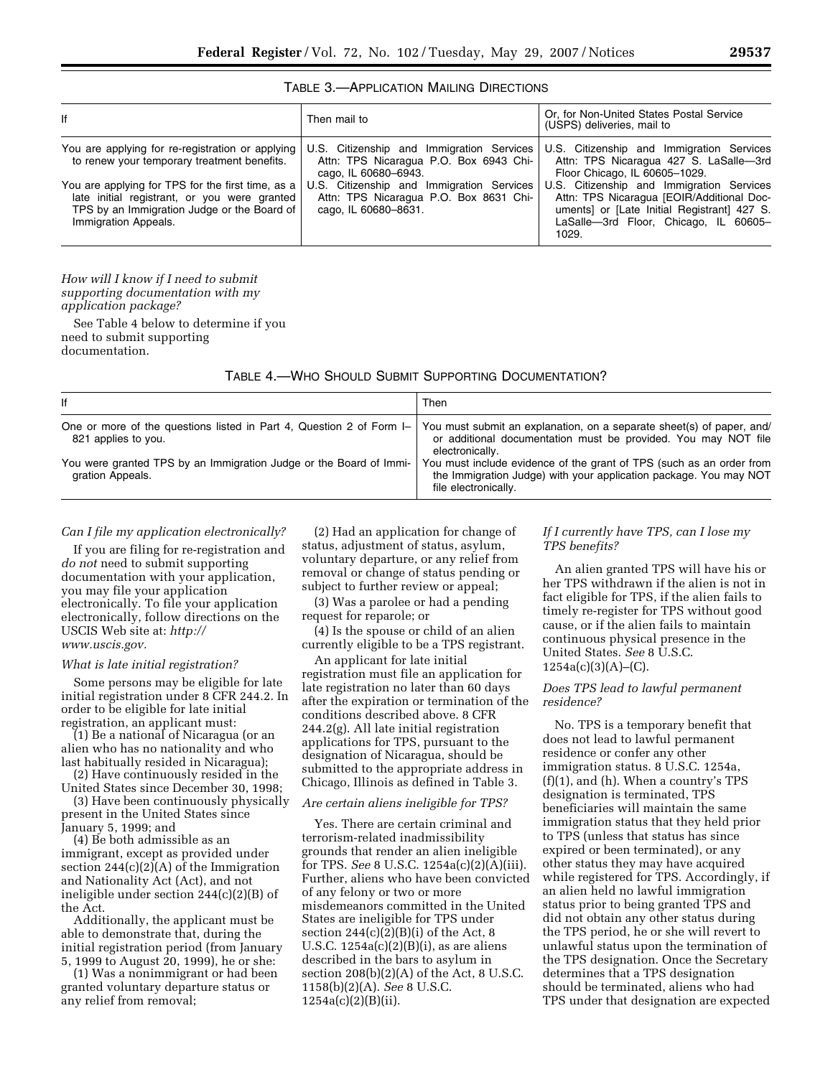| If                                                                                                                                                                                                                                                                          | Then mail to                                                                                                                                                                                                               | Or, for Non-United States Postal Service<br>(USPS) deliveries, mail to                                                                                                                                                                                                                                          |  |  |
|-----------------------------------------------------------------------------------------------------------------------------------------------------------------------------------------------------------------------------------------------------------------------------|----------------------------------------------------------------------------------------------------------------------------------------------------------------------------------------------------------------------------|-----------------------------------------------------------------------------------------------------------------------------------------------------------------------------------------------------------------------------------------------------------------------------------------------------------------|--|--|
| You are applying for re-registration or applying<br>to renew your temporary treatment benefits.<br>You are applying for TPS for the first time, as a<br>late initial registrant, or you were granted<br>TPS by an Immigration Judge or the Board of<br>Immigration Appeals. | U.S. Citizenship and Immigration Services<br>Attn: TPS Nicaragua P.O. Box 6943 Chi-<br>cago, IL 60680-6943.<br>U.S. Citizenship and Immigration Services<br>Attn: TPS Nicaragua P.O. Box 8631 Chi-<br>cago, IL 60680-8631. | U.S. Citizenship and Immigration Services<br>Attn: TPS Nicaragua 427 S. LaSalle-3rd<br>Floor Chicago, IL 60605-1029.<br>U.S. Citizenship and Immigration Services<br>Attn: TPS Nicaragua [EOIR/Additional Doc-<br>uments] or [Late Initial Registrant] 427 S.<br>LaSalle-3rd Floor, Chicago, IL 60605-<br>1029. |  |  |

### TABLE 3.—APPLICATION MAILING DIRECTIONS

*How will I know if I need to submit supporting documentation with my application package?* 

See Table 4 below to determine if you need to submit supporting documentation.

TABLE 4.—WHO SHOULD SUBMIT SUPPORTING DOCUMENTATION?

| lf                                                                                          | Then                                                                                                                                                              |
|---------------------------------------------------------------------------------------------|-------------------------------------------------------------------------------------------------------------------------------------------------------------------|
| One or more of the questions listed in Part 4, Question 2 of Form I-<br>821 applies to you. | You must submit an explanation, on a separate sheet(s) of paper, and/<br>or additional documentation must be provided. You may NOT file<br>electronically.        |
| You were granted TPS by an Immigration Judge or the Board of Immi-<br>gration Appeals.      | You must include evidence of the grant of TPS (such as an order from<br>the Immigration Judge) with your application package. You may NOT<br>file electronically. |

#### *Can I file my application electronically?*

If you are filing for re-registration and *do not* need to submit supporting documentation with your application, you may file your application electronically. To file your application electronically, follow directions on the USCIS Web site at: *http:// www.uscis.gov.* 

# *What is late initial registration?*

Some persons may be eligible for late initial registration under 8 CFR 244.2. In order to be eligible for late initial registration, an applicant must:

(1) Be a national of Nicaragua (or an alien who has no nationality and who last habitually resided in Nicaragua);

(2) Have continuously resided in the United States since December 30, 1998;

(3) Have been continuously physically present in the United States since January 5, 1999; and

(4) Be both admissible as an immigrant, except as provided under section  $244(c)(2)(A)$  of the Immigration and Nationality Act (Act), and not ineligible under section 244(c)(2)(B) of the Act.

Additionally, the applicant must be able to demonstrate that, during the initial registration period (from January 5, 1999 to August 20, 1999), he or she:

(1) Was a nonimmigrant or had been granted voluntary departure status or any relief from removal;

(2) Had an application for change of status, adjustment of status, asylum, voluntary departure, or any relief from removal or change of status pending or subject to further review or appeal;

(3) Was a parolee or had a pending request for reparole; or

(4) Is the spouse or child of an alien currently eligible to be a TPS registrant.

An applicant for late initial registration must file an application for late registration no later than 60 days after the expiration or termination of the conditions described above. 8 CFR 244.2(g). All late initial registration applications for TPS, pursuant to the designation of Nicaragua, should be submitted to the appropriate address in Chicago, Illinois as defined in Table 3.

### *Are certain aliens ineligible for TPS?*

Yes. There are certain criminal and terrorism-related inadmissibility grounds that render an alien ineligible for TPS. *See* 8 U.S.C. 1254a(c)(2)(A)(iii). Further, aliens who have been convicted of any felony or two or more misdemeanors committed in the United States are ineligible for TPS under section  $244(c)(\overline{2})(B)(i)$  of the Act, 8 U.S.C.  $1254a(c)(2)(B)(i)$ , as are aliens described in the bars to asylum in section  $208(b)(2)(A)$  of the Act, 8 U.S.C. 1158(b)(2)(A). *See* 8 U.S.C. 1254a(c)(2)(B)(ii).

### *If I currently have TPS, can I lose my TPS benefits?*

An alien granted TPS will have his or her TPS withdrawn if the alien is not in fact eligible for TPS, if the alien fails to timely re-register for TPS without good cause, or if the alien fails to maintain continuous physical presence in the United States. *See* 8 U.S.C. 1254a(c)(3)(A)–(C).

# *Does TPS lead to lawful permanent residence?*

No. TPS is a temporary benefit that does not lead to lawful permanent residence or confer any other immigration status. 8 U.S.C. 1254a, (f)(1), and (h). When a country's TPS designation is terminated, TPS beneficiaries will maintain the same immigration status that they held prior to TPS (unless that status has since expired or been terminated), or any other status they may have acquired while registered for TPS. Accordingly, if an alien held no lawful immigration status prior to being granted TPS and did not obtain any other status during the TPS period, he or she will revert to unlawful status upon the termination of the TPS designation. Once the Secretary determines that a TPS designation should be terminated, aliens who had TPS under that designation are expected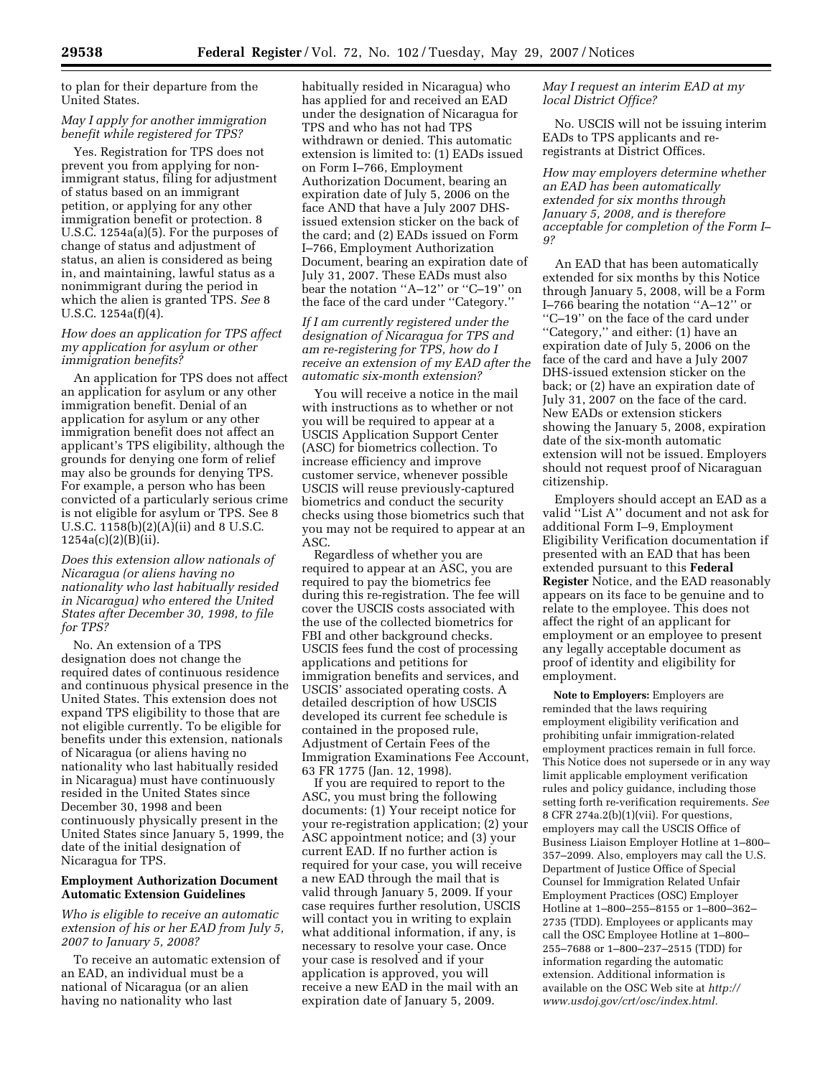to plan for their departure from the United States.

# *May I apply for another immigration benefit while registered for TPS?*

Yes. Registration for TPS does not prevent you from applying for nonimmigrant status, filing for adjustment of status based on an immigrant petition, or applying for any other immigration benefit or protection. 8 U.S.C. 1254a(a)(5). For the purposes of change of status and adjustment of status, an alien is considered as being in, and maintaining, lawful status as a nonimmigrant during the period in which the alien is granted TPS. *See* 8 U.S.C. 1254a(f)(4).

### *How does an application for TPS affect my application for asylum or other immigration benefits?*

An application for TPS does not affect an application for asylum or any other immigration benefit. Denial of an application for asylum or any other immigration benefit does not affect an applicant's TPS eligibility, although the grounds for denying one form of relief may also be grounds for denying TPS. For example, a person who has been convicted of a particularly serious crime is not eligible for asylum or TPS. See 8 U.S.C. 1158(b)(2)(A)(ii) and 8 U.S.C. 1254a(c)(2)(B)(ii).

*Does this extension allow nationals of Nicaragua (or aliens having no nationality who last habitually resided in Nicaragua) who entered the United States after December 30, 1998, to file for TPS?* 

No. An extension of a TPS designation does not change the required dates of continuous residence and continuous physical presence in the United States. This extension does not expand TPS eligibility to those that are not eligible currently. To be eligible for benefits under this extension, nationals of Nicaragua (or aliens having no nationality who last habitually resided in Nicaragua) must have continuously resided in the United States since December 30, 1998 and been continuously physically present in the United States since January 5, 1999, the date of the initial designation of Nicaragua for TPS.

## **Employment Authorization Document Automatic Extension Guidelines**

*Who is eligible to receive an automatic extension of his or her EAD from July 5, 2007 to January 5, 2008?* 

To receive an automatic extension of an EAD, an individual must be a national of Nicaragua (or an alien having no nationality who last

habitually resided in Nicaragua) who has applied for and received an EAD under the designation of Nicaragua for TPS and who has not had TPS withdrawn or denied. This automatic extension is limited to: (1) EADs issued on Form I–766, Employment Authorization Document, bearing an expiration date of July 5, 2006 on the face AND that have a July 2007 DHSissued extension sticker on the back of the card; and (2) EADs issued on Form I–766, Employment Authorization Document, bearing an expiration date of July 31, 2007. These EADs must also bear the notation ''A–12'' or ''C–19'' on the face of the card under ''Category.''

*If I am currently registered under the designation of Nicaragua for TPS and am re-registering for TPS, how do I receive an extension of my EAD after the automatic six-month extension?* 

You will receive a notice in the mail with instructions as to whether or not you will be required to appear at a USCIS Application Support Center (ASC) for biometrics collection. To increase efficiency and improve customer service, whenever possible USCIS will reuse previously-captured biometrics and conduct the security checks using those biometrics such that you may not be required to appear at an ASC.

Regardless of whether you are required to appear at an ASC, you are required to pay the biometrics fee during this re-registration. The fee will cover the USCIS costs associated with the use of the collected biometrics for FBI and other background checks. USCIS fees fund the cost of processing applications and petitions for immigration benefits and services, and USCIS' associated operating costs. A detailed description of how USCIS developed its current fee schedule is contained in the proposed rule, Adjustment of Certain Fees of the Immigration Examinations Fee Account, 63 FR 1775 (Jan. 12, 1998).

If you are required to report to the ASC, you must bring the following documents: (1) Your receipt notice for your re-registration application; (2) your ASC appointment notice; and (3) your current EAD. If no further action is required for your case, you will receive a new EAD through the mail that is valid through January 5, 2009. If your case requires further resolution, USCIS will contact you in writing to explain what additional information, if any, is necessary to resolve your case. Once your case is resolved and if your application is approved, you will receive a new EAD in the mail with an expiration date of January 5, 2009.

*May I request an interim EAD at my local District Office?* 

No. USCIS will not be issuing interim EADs to TPS applicants and reregistrants at District Offices.

*How may employers determine whether an EAD has been automatically extended for six months through January 5, 2008, and is therefore acceptable for completion of the Form I– 9?* 

An EAD that has been automatically extended for six months by this Notice through January 5, 2008, will be a Form I–766 bearing the notation ''A–12'' or ''C–19'' on the face of the card under ''Category,'' and either: (1) have an expiration date of July 5, 2006 on the face of the card and have a July 2007 DHS-issued extension sticker on the back; or (2) have an expiration date of July 31, 2007 on the face of the card. New EADs or extension stickers showing the January 5, 2008, expiration date of the six-month automatic extension will not be issued. Employers should not request proof of Nicaraguan citizenship.

Employers should accept an EAD as a valid ''List A'' document and not ask for additional Form I–9, Employment Eligibility Verification documentation if presented with an EAD that has been extended pursuant to this **Federal Register** Notice, and the EAD reasonably appears on its face to be genuine and to relate to the employee. This does not affect the right of an applicant for employment or an employee to present any legally acceptable document as proof of identity and eligibility for employment.

**Note to Employers:** Employers are reminded that the laws requiring employment eligibility verification and prohibiting unfair immigration-related employment practices remain in full force. This Notice does not supersede or in any way limit applicable employment verification rules and policy guidance, including those setting forth re-verification requirements. *See*  8 CFR 274a.2(b)(1)(vii). For questions, employers may call the USCIS Office of Business Liaison Employer Hotline at 1–800– 357–2099. Also, employers may call the U.S. Department of Justice Office of Special Counsel for Immigration Related Unfair Employment Practices (OSC) Employer Hotline at 1–800–255–8155 or 1–800–362– 2735 (TDD). Employees or applicants may call the OSC Employee Hotline at 1–800– 255–7688 or 1–800–237–2515 (TDD) for information regarding the automatic extension. Additional information is available on the OSC Web site at *http:// www.usdoj.gov/crt/osc/index.html.*